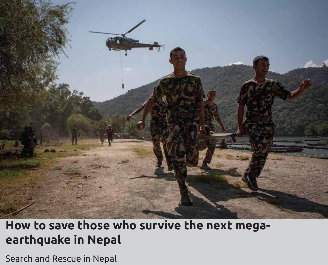

## **How to save those who survive the next megaearthquake in Nepal**

Search and Rescue in Nepal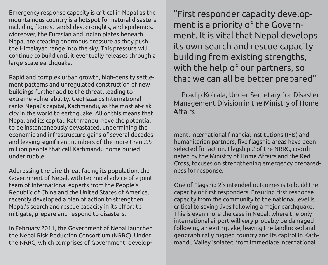Emergency response capacity is critical in Nepal as the mountainous country is a hotspot for natural disasters including floods, landslides, droughts, and epidemics. Moreover, the Eurasian and Indian plates beneath Nepal are creating enormous pressure as they push the Himalayan range into the sky. This pressure will continue to build until it eventually releases through a large-scale earthquake.

Rapid and complex urban growth, high-density settlement patterns and unregulated construction of new buildings further add to the threat, leading to extreme vulnerablility. GeoHazards International ranks Nepal's capital, Kathmandu, as the most at-risk city in the world to earthquake. All of this means that Nepal and its capital, Kathmandu, have the potential to be instantaneously devastated, undermining the economic and infrastructure gains of several decades and leaving significant numbers of the more than 2.5 million people that call Kathmandu home buried under rubble.

Addressing the dire threat facing its population, the Government of Nepal, with technical advice of a joint team of international experts from the People's Republic of China and the United States of America, recently developed a plan of action to strengthen Nepal's search and rescue capacity in its effort to mitigate, prepare and respond to disasters.

In February 2011, the Government of Nepal launched the Nepal Risk Reduction Consortium (NRRC). Under the NRRC, which comprises of Government, develop-

"First responder capacity development is a priority of the Government. It is vital that Nepal develops its own search and rescue capacity building from existing strengths, with the help of our partners, so that we can all be better prepared"

 - Pradip Koirala, Under Secretary for Disaster Management Division in the Ministry of Home Affairs

ment, international financial institutions (IFIs) and humanitarian partners, five flagship areas have been selected for action. Flagship 2 of the NRRC, coordinated by the Ministry of Home Affairs and the Red Cross, focuses on strengthening emergency preparedness for response.

One of Flagship 2's intended outcomes is to build the capacity of first responders. Ensuring first response capacity from the community to the national level is critical to saving lives following a major earthquake. This is even more the case in Nepal, where the only international airport will very probably be damaged following an earthquake, leaving the landlocked and geographically rugged country and its capitol in Kathmandu Valley isolated from immediate international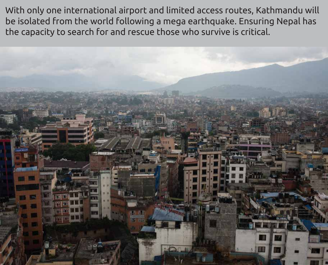With only one international airport and limited access routes, Kathmandu will be isolated from the world following a mega earthquake. Ensuring Nepal has the capacity to search for and rescue those who survive is critical.

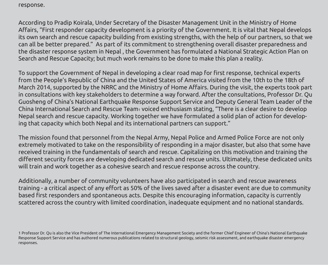response.

According to Pradip Koirala, Under Secretary of the Disaster Management Unit in the Ministry of Home Affairs, "First responder capacity development is a priority of the Government. It is vital that Nepal develops its own search and rescue capacity building from existing strengths, with the help of our partners, so that we can all be better prepared." As part of its commitment to strengthening overall disaster preparedness and the disaster response system in Nepal , the Government has formulated a National Strategic Action Plan on Search and Rescue Capacity; but much work remains to be done to make this plan a reality.

To support the Government of Nepal in developing a clear road map for first response, technical experts from the People's Republic of China and the United States of America visited from the 10th to the 18th of March 2014, supported by the NRRC and the Ministry of Home Affairs. During the visit, the experts took part in consultations with key stakeholders to determine a way forward. After the consultations, Professor Dr. Qu Guosheng of China's National Earthquake Response Support Service and Deputy General Team Leader of the China International Search and Rescue Team1 voiced enthusiasm stating, "There is a clear desire to develop Nepal search and rescue capacity. Working together we have formulated a solid plan of action for developing that capacity which both Nepal and its international partners can support."

The mission found that personnel from the Nepal Army, Nepal Police and Armed Police Force are not only extremely motivated to take on the responsibility of responding in a major disaster, but also that some have received training in the fundamentals of search and rescue. Capitalizing on this motivation and training the different security forces are developing dedicated search and rescue units. Ultimately, these dedicated units will train and work together as a cohesive search and rescue response across the country.

Additionally, a number of community volunteers have also participated in search and rescue awareness training - a critical aspect of any effort as 50% of the lives saved after a disaster event are due to community based first responders and spontaneous acts. Despite this encouraging information, capacity is currently scattered across the country with limited coordination, inadequate equipment and no national standards.

<sup>1</sup> Professor Dr. Qu is also the Vice President of The International Emergency Management Society and the former Chief Engineer of China's National Earthquake Response Support Service and has authored numerous publications related to structural geology, seismic risk assessment, and earthquake disaster emergency responses.